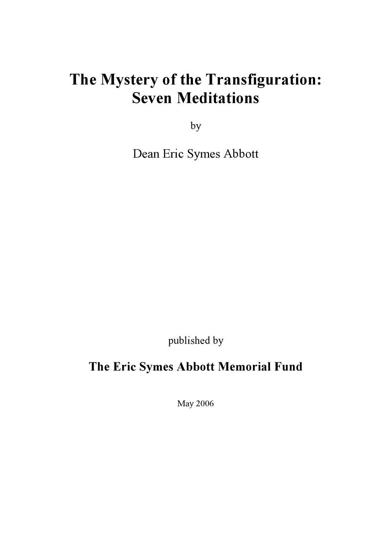by

Dean Eric Symes Abbott

published by

## **The Eric Symes Abbott Memorial Fund**

May 2006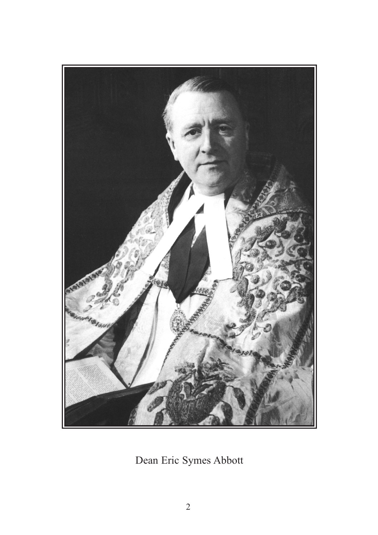

Dean Eric Symes Abbott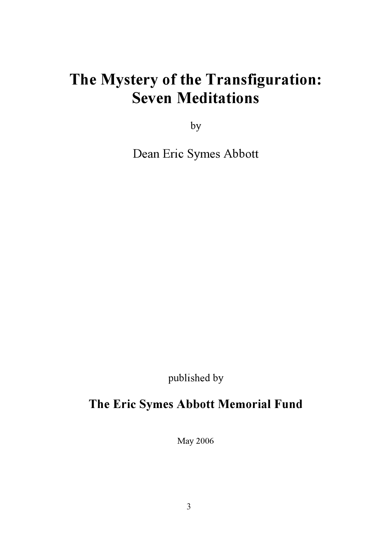by

Dean Eric Symes Abbott

published by

## **The Eric Symes Abbott Memorial Fund**

May 2006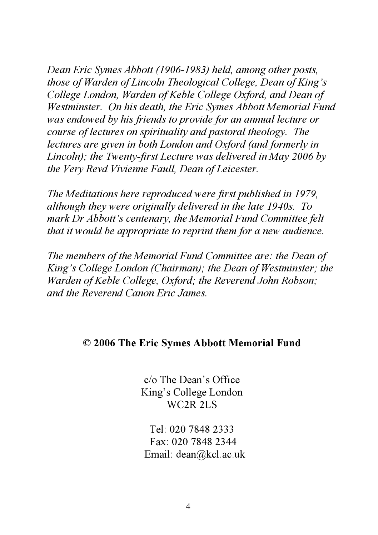*Dean Eric Symes Abbott (1906-1983) held, among other posts, those of Warden of Lincoln Theological College, Dean of King's College London, Warden of Keble College Oxford, and Dean of Westminster. On his death, the Eric Symes Abbott Memorial Fund was endowed by his friends to provide for an annual lecture or course of lectures on spirituality and pastoral theology. The lectures are given in both London and Oxford (and formerly in Lincoln); the Twenty-first Lecture was delivered in May 2006 by the Very Revd Vivienne Faull, Dean of Leicester.* 

*The Meditations here reproduced were first published in 1979, although they were originally delivered in the late 1940s. To mark Dr Abbott's centenary, the Memorial Fund Committee felt that it would be appropriate to reprint them for a new audience.* 

*The members of the Memorial Fund Committee are: the Dean of King's College London (Chairman): the Dean of Westminster; the Warden of Keble College, Oxford; the Reverend John Robson; and the Reverend Canon Eric James.*

### **© 2006 The Eric Symes Abbott Memorial Fund**

c/o The Dean's Office King's College London WC2R 2LS

Tel: 020 7848 2333 Fax: 020 7848 2344 Email: dean@kcl.ac.uk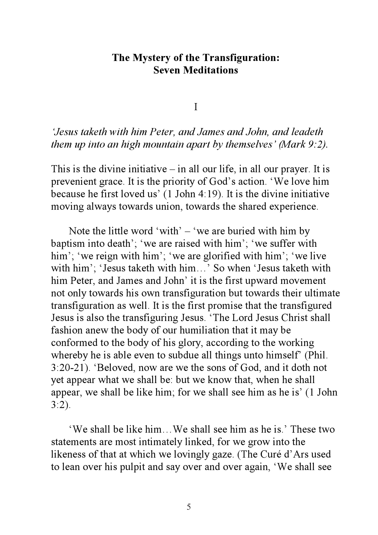I

### *ëJesus taketh with him Peter, and James and John, and leadeth them up into an high mountain apart by themselves' (Mark 9:2).*

This is the divine initiative  $-$  in all our life, in all our prayer. It is prevenient grace. It is the priority of God's action. 'We love him because he first loved us'  $(1$  John 4:19). It is the divine initiative moving always towards union, towards the shared experience.

Note the little word 'with'  $-$  'we are buried with him by baptism into death'; 'we are raised with him'; 'we suffer with him'; 'we reign with him'; 'we are glorified with him'; 'we live with him': 'Jesus taketh with him...' So when 'Jesus taketh with him Peter, and James and John' it is the first upward movement not only towards his own transfiguration but towards their ultimate transfiguration as well. It is the first promise that the transfigured Jesus is also the transfiguring Jesus. The Lord Jesus Christ shall fashion anew the body of our humiliation that it may be conformed to the body of his glory, according to the working whereby he is able even to subdue all things unto himself' (Phil. 3:20-21). ëBeloved, now are we the sons of God, and it doth not yet appear what we shall be: but we know that, when he shall appear, we shall be like him; for we shall see him as he is' (1 John 3:2).

 $W$ e shall be like him $W$ we shall see him as he is.<sup>†</sup> These two statements are most intimately linked, for we grow into the likeness of that at which we lovingly gaze. (The Curé d'Ars used to lean over his pulpit and say over and over again, 'We shall see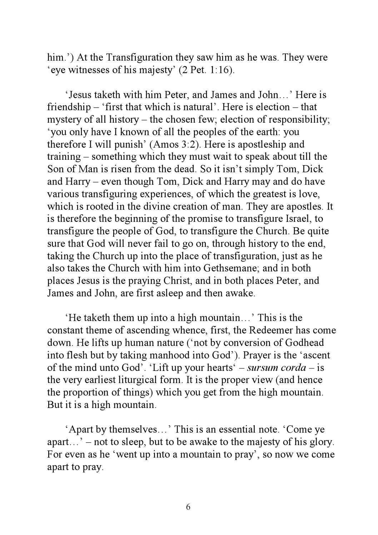him.<sup>'</sup>) At the Transfiguration they saw him as he was. They were 'eve witnesses of his majesty'  $(2$  Pet. 1:16).

'Jesus taketh with him Peter, and James and John...' Here is friendship  $-$  first that which is natural'. Here is election  $-$  that mystery of all history  $-$  the chosen few; election of responsibility; ëyou only have I known of all the peoples of the earth: you therefore I will punish' (Amos  $3:2$ ). Here is apostleship and training  $-$  something which they must wait to speak about till the Son of Man is risen from the dead. So it isn't simply Tom, Dick and Harry – even though Tom, Dick and Harry may and do have various transfiguring experiences, of which the greatest is love, which is rooted in the divine creation of man. They are apostles. It is therefore the beginning of the promise to transfigure Israel, to transfigure the people of God, to transfigure the Church. Be quite sure that God will never fail to go on, through history to the end, taking the Church up into the place of transfiguration, just as he also takes the Church with him into Gethsemane; and in both places Jesus is the praying Christ, and in both places Peter, and James and John, are first asleep and then awake.

 $'$ He taketh them up into a high mountain $\ldots'$  This is the constant theme of ascending whence, first, the Redeemer has come down. He lifts up human nature ('not by conversion of Godhead into flesh but by taking manhood into God'). Prayer is the 'ascent of the mind unto God'. 'Lift up your hearts'  $-$  *sursum corda*  $-$  is the very earliest liturgical form. It is the proper view (and hence the proportion of things) which you get from the high mountain. But it is a high mountain.

'Apart by themselves...' This is an essential note. 'Come ye apart $\ldots$  – not to sleep, but to be awake to the majesty of his glory. For even as he 'went up into a mountain to pray', so now we come apart to pray.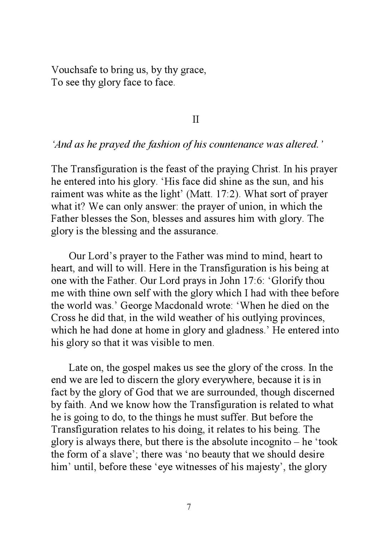Vouchsafe to bring us, by thy grace, To see thy glory face to face.

II

#### *And as he prayed the fashion of his countenance was altered.*

The Transfiguration is the feast of the praying Christ. In his prayer he entered into his glory. 'His face did shine as the sun, and his raiment was white as the light' (Matt. 17:2). What sort of prayer what it? We can only answer: the prayer of union, in which the Father blesses the Son, blesses and assures him with glory. The glory is the blessing and the assurance.

Our Lord's prayer to the Father was mind to mind, heart to heart, and will to will. Here in the Transfiguration is his being at one with the Father. Our Lord prays in John 17:6: ëGlorify thou me with thine own self with the glory which I had with thee before the world was.' George Macdonald wrote: 'When he died on the Cross he did that, in the wild weather of his outlying provinces, which he had done at home in glory and gladness.' He entered into his glory so that it was visible to men.

Late on, the gospel makes us see the glory of the cross. In the end we are led to discern the glory everywhere, because it is in fact by the glory of God that we are surrounded, though discerned by faith. And we know how the Transfiguration is related to what he is going to do, to the things he must suffer. But before the Transfiguration relates to his doing, it relates to his being. The glory is always there, but there is the absolute incognito  $-$  he 'took the form of a slave'; there was 'no beauty that we should desire him' until, before these 'eye witnesses of his majesty', the glory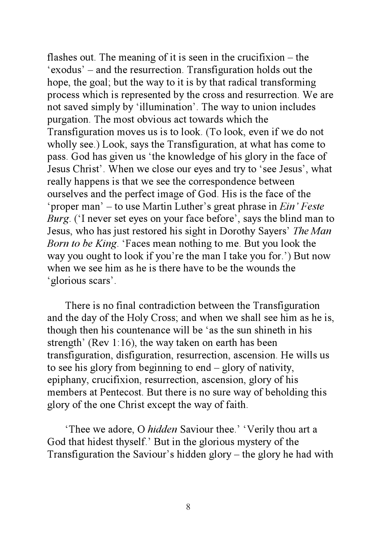flashes out. The meaning of it is seen in the crucifixion  $-$  the  $'s$ exodus $'$  – and the resurrection. Transfiguration holds out the hope, the goal; but the way to it is by that radical transforming process which is represented by the cross and resurrection. We are not saved simply by 'illumination'. The way to union includes purgation. The most obvious act towards which the Transfiguration moves us is to look. (To look, even if we do not wholly see.) Look, says the Transfiguration, at what has come to pass. God has given us 'the knowledge of his glory in the face of Jesus Christ'. When we close our eyes and try to 'see Jesus', what really happens is that we see the correspondence between ourselves and the perfect image of God. His is the face of the <sup>t</sup> proper man<sup>2</sup> – to use Martin Luther's great phrase in *Ein' Feste Burg*. ('I never set eyes on your face before', says the blind man to Jesus, who has just restored his sight in Dorothy Sayers' *The Man Born to be King.* 'Faces mean nothing to me. But you look the way you ought to look if you're the man I take you for.') But now when we see him as he is there have to be the wounds the 'glorious scars'.

There is no final contradiction between the Transfiguration and the day of the Holy Cross; and when we shall see him as he is, though then his countenance will be 'as the sun shineth in his strength' (Rev 1:16), the way taken on earth has been transfiguration, disfiguration, resurrection, ascension. He wills us to see his glory from beginning to end  $-\rho$  glory of nativity, epiphany, crucifixion, resurrection, ascension, glory of his members at Pentecost. But there is no sure way of beholding this glory of the one Christ except the way of faith.

'Thee we adore, O *hidden* Saviour thee.' 'Verily thou art a God that hidest thyself.' But in the glorious mystery of the Transfiguration the Saviour's hidden glory – the glory he had with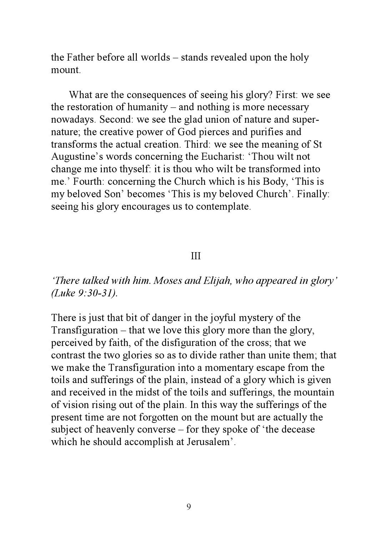the Father before all worlds  $-$  stands revealed upon the holy mount.

What are the consequences of seeing his glory? First: we see the restoration of humanity  $-$  and nothing is more necessary nowadays. Second: we see the glad union of nature and supernature; the creative power of God pierces and purifies and transforms the actual creation. Third: we see the meaning of St Augustine's words concerning the Eucharist: 'Thou wilt not change me into thyself: it is thou who wilt be transformed into me.' Fourth: concerning the Church which is his Body, 'This is my beloved Son' becomes 'This is my beloved Church'. Finally: seeing his glory encourages us to contemplate.

#### III

*f* There talked with him. Moses and Elijah, who appeared in glory' *(Luke 9:30-31).* 

There is just that bit of danger in the joyful mystery of the Transfiguration  $-$  that we love this glory more than the glory, perceived by faith, of the disfiguration of the cross; that we contrast the two glories so as to divide rather than unite them; that we make the Transfiguration into a momentary escape from the toils and sufferings of the plain, instead of a glory which is given and received in the midst of the toils and sufferings, the mountain of vision rising out of the plain. In this way the sufferings of the present time are not forgotten on the mount but are actually the subject of heavenly converse  $-$  for they spoke of 'the decease which he should accomplish at Jerusalem<sup>'</sup>.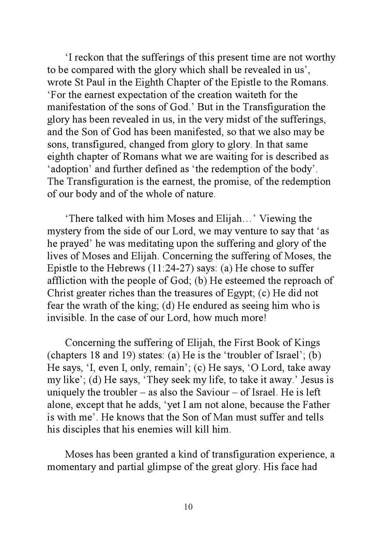ëI reckon that the sufferings of this present time are not worthy to be compared with the glory which shall be revealed in us<sup>7</sup>, wrote St Paul in the Eighth Chapter of the Epistle to the Romans. ëFor the earnest expectation of the creation waiteth for the manifestation of the sons of God.<sup>7</sup> But in the Transfiguration the glory has been revealed in us, in the very midst of the sufferings, and the Son of God has been manifested, so that we also may be sons, transfigured, changed from glory to glory. In that same eighth chapter of Romans what we are waiting for is described as 'adoption' and further defined as 'the redemption of the body'. The Transfiguration is the earnest, the promise, of the redemption of our body and of the whole of nature.

There talked with him Moses and Elijah $\ldots$ . Viewing the mystery from the side of our Lord, we may venture to say that 'as he prayed he was meditating upon the suffering and glory of the lives of Moses and Elijah. Concerning the suffering of Moses, the Epistle to the Hebrews (11:24-27) says: (a) He chose to suffer affliction with the people of God; (b) He esteemed the reproach of Christ greater riches than the treasures of Egypt; (c) He did not fear the wrath of the king; (d) He endured as seeing him who is invisible. In the case of our Lord, how much more!

Concerning the suffering of Elijah, the First Book of Kings (chapters 18 and 19) states: (a) He is the 'troubler of Israel'; (b) He says, 'I, even I, only, remain'; (c) He says, 'O Lord, take away my like'; (d) He says, 'They seek my life, to take it away.' Jesus is uniquely the troubler  $-$  as also the Saviour  $-$  of Israel. He is left alone, except that he adds, ëyet I am not alone, because the Father is with me'. He knows that the Son of Man must suffer and tells his disciples that his enemies will kill him.

Moses has been granted a kind of transfiguration experience, a momentary and partial glimpse of the great glory. His face had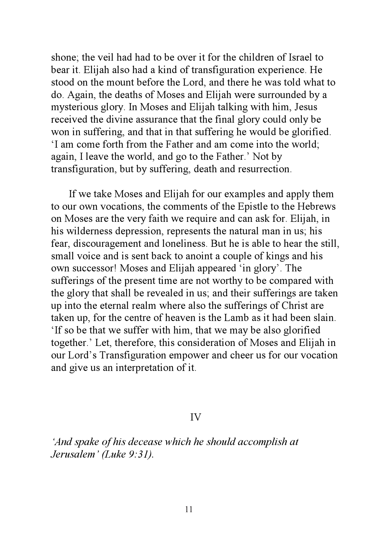shone; the veil had had to be over it for the children of Israel to bear it. Elijah also had a kind of transfiguration experience. He stood on the mount before the Lord, and there he was told what to do. Again, the deaths of Moses and Elijah were surrounded by a mysterious glory. In Moses and Elijah talking with him, Jesus received the divine assurance that the final glory could only be won in suffering, and that in that suffering he would be glorified. ëI am come forth from the Father and am come into the world; again, I leave the world, and go to the Father.' Not by transfiguration, but by suffering, death and resurrection.

If we take Moses and Elijah for our examples and apply them to our own vocations, the comments of the Epistle to the Hebrews on Moses are the very faith we require and can ask for. Elijah, in his wilderness depression, represents the natural man in us; his fear, discouragement and loneliness. But he is able to hear the still, small voice and is sent back to anoint a couple of kings and his own successor! Moses and Elijah appeared 'in glory'. The sufferings of the present time are not worthy to be compared with the glory that shall be revealed in us; and their sufferings are taken up into the eternal realm where also the sufferings of Christ are taken up, for the centre of heaven is the Lamb as it had been slain. If so be that we suffer with him, that we may be also glorified together.' Let, therefore, this consideration of Moses and Elijah in our Lord's Transfiguration empower and cheer us for our vocation and give us an interpretation of it.

IV

*ëAnd spake of his decease which he should accomplish at Jerusalemí (Luke 9:31).*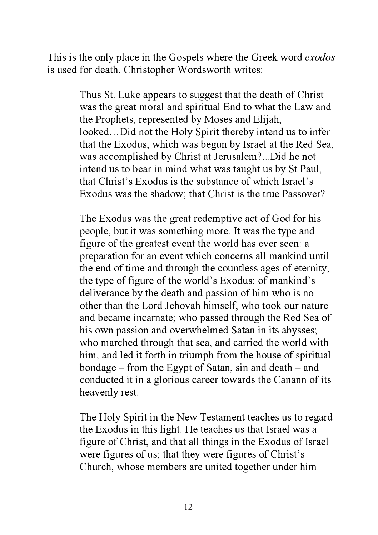This is the only place in the Gospels where the Greek word *exodos*  is used for death. Christopher Wordsworth writes:

> Thus St. Luke appears to suggest that the death of Christ was the great moral and spiritual End to what the Law and the Prophets, represented by Moses and Elijah, looked...Did not the Holy Spirit thereby intend us to infer that the Exodus, which was begun by Israel at the Red Sea, was accomplished by Christ at Jerusalem?...Did he not intend us to bear in mind what was taught us by St Paul, that Christ's Exodus is the substance of which Israel's Exodus was the shadow; that Christ is the true Passover?

> The Exodus was the great redemptive act of God for his people, but it was something more. It was the type and figure of the greatest event the world has ever seen: a preparation for an event which concerns all mankind until the end of time and through the countless ages of eternity; the type of figure of the world's Exodus: of mankind's deliverance by the death and passion of him who is no other than the Lord Jehovah himself, who took our nature and became incarnate; who passed through the Red Sea of his own passion and overwhelmed Satan in its abysses; who marched through that sea, and carried the world with him, and led it forth in triumph from the house of spiritual bondage – from the Egypt of Satan, sin and death  $-$  and conducted it in a glorious career towards the Canann of its heavenly rest.

> The Holy Spirit in the New Testament teaches us to regard the Exodus in this light. He teaches us that Israel was a figure of Christ, and that all things in the Exodus of Israel were figures of us; that they were figures of Christ's Church, whose members are united together under him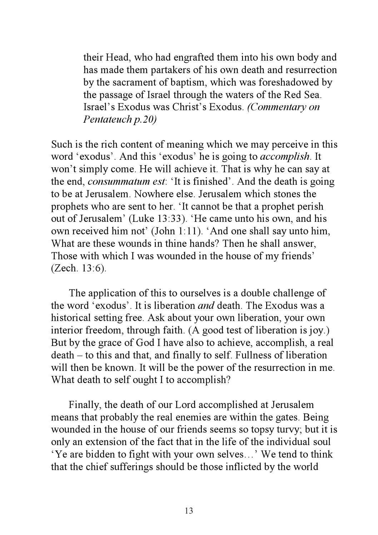their Head, who had engrafted them into his own body and has made them partakers of his own death and resurrection by the sacrament of baptism, which was foreshadowed by the passage of Israel through the waters of the Red Sea. Israel's Exodus was Christ's Exodus. *(Commentary on Pentateuch p.20)*

Such is the rich content of meaning which we may perceive in this word 'exodus'. And this 'exodus' he is going to *accomplish*. It won't simply come. He will achieve it. That is why he can say at the end, *consummatum est*: 'It is finished'. And the death is going to be at Jerusalem. Nowhere else. Jerusalem which stones the prophets who are sent to her. ëIt cannot be that a prophet perish out of Jerusalem<sup>'</sup> (Luke 13:33). 'He came unto his own, and his own received him not' (John 1:11). 'And one shall say unto him, What are these wounds in thine hands? Then he shall answer, Those with which I was wounded in the house of my friends' (Zech. 13:6).

The application of this to ourselves is a double challenge of the word 'exodus'. It is liberation *and* death. The Exodus was a historical setting free. Ask about your own liberation, your own interior freedom, through faith. (A good test of liberation is joy.) But by the grace of God I have also to achieve, accomplish, a real  $death - to this and that, and finally to self. Fullness of liberation$ will then be known. It will be the power of the resurrection in me. What death to self ought I to accomplish?

Finally, the death of our Lord accomplished at Jerusalem means that probably the real enemies are within the gates. Being wounded in the house of our friends seems so topsy turvy; but it is only an extension of the fact that in the life of the individual soul 'Ye are bidden to fight with your own selves...' We tend to think that the chief sufferings should be those inflicted by the world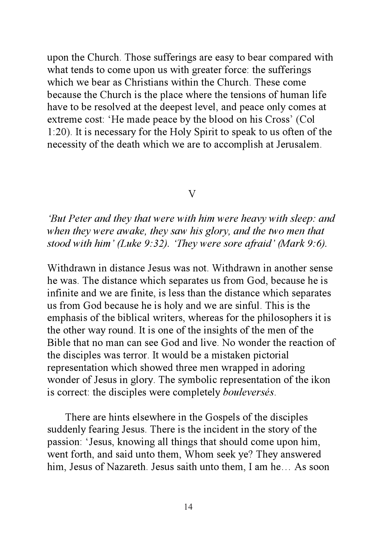upon the Church. Those sufferings are easy to bear compared with what tends to come upon us with greater force: the sufferings which we bear as Christians within the Church. These come because the Church is the place where the tensions of human life have to be resolved at the deepest level, and peace only comes at extreme cost: 'He made peace by the blood on his Cross' (Col 1:20). It is necessary for the Holy Spirit to speak to us often of the necessity of the death which we are to accomplish at Jerusalem.

#### V

*ëBut Peter and they that were with him were heavy with sleep: and when they were awake, they saw his glory, and the two men that stood with him' (Luke 9:32). 'They were sore afraid' (Mark 9:6).* 

Withdrawn in distance Jesus was not. Withdrawn in another sense he was. The distance which separates us from God, because he is infinite and we are finite, is less than the distance which separates us from God because he is holy and we are sinful. This is the emphasis of the biblical writers, whereas for the philosophers it is the other way round. It is one of the insights of the men of the Bible that no man can see God and live. No wonder the reaction of the disciples was terror. It would be a mistaken pictorial representation which showed three men wrapped in adoring wonder of Jesus in glory. The symbolic representation of the ikon is correct: the disciples were completely *bouleversés*.

There are hints elsewhere in the Gospels of the disciples suddenly fearing Jesus. There is the incident in the story of the passion: ëJesus, knowing all things that should come upon him, went forth, and said unto them, Whom seek ye? They answered him, Jesus of Nazareth. Jesus saith unto them, I am he... As soon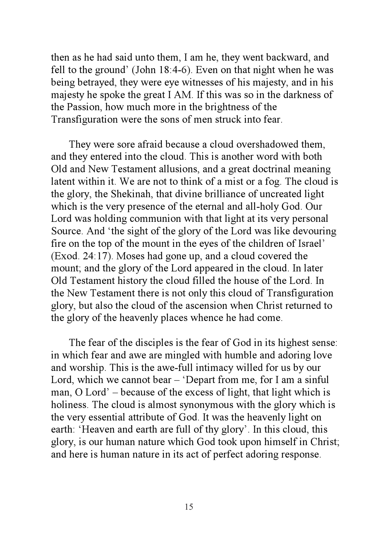then as he had said unto them, I am he, they went backward, and fell to the ground' (John  $18:4-6$ ). Even on that night when he was being betrayed, they were eye witnesses of his majesty, and in his majesty he spoke the great I AM. If this was so in the darkness of the Passion, how much more in the brightness of the Transfiguration were the sons of men struck into fear.

They were sore afraid because a cloud overshadowed them, and they entered into the cloud. This is another word with both Old and New Testament allusions, and a great doctrinal meaning latent within it. We are not to think of a mist or a fog. The cloud is the glory, the Shekinah, that divine brilliance of uncreated light which is the very presence of the eternal and all-holy God. Our Lord was holding communion with that light at its very personal Source. And 'the sight of the glory of the Lord was like devouring fire on the top of the mount in the eyes of the children of Israel' (Exod. 24:17). Moses had gone up, and a cloud covered the mount; and the glory of the Lord appeared in the cloud. In later Old Testament history the cloud filled the house of the Lord. In the New Testament there is not only this cloud of Transfiguration glory, but also the cloud of the ascension when Christ returned to the glory of the heavenly places whence he had come.

The fear of the disciples is the fear of God in its highest sense: in which fear and awe are mingled with humble and adoring love and worship. This is the awe-full intimacy willed for us by our Lord, which we cannot bear  $-$  'Depart from me, for I am a sinful man,  $O$  Lord' – because of the excess of light, that light which is holiness. The cloud is almost synonymous with the glory which is the very essential attribute of God. It was the heavenly light on earth: 'Heaven and earth are full of thy glory'. In this cloud, this glory, is our human nature which God took upon himself in Christ; and here is human nature in its act of perfect adoring response.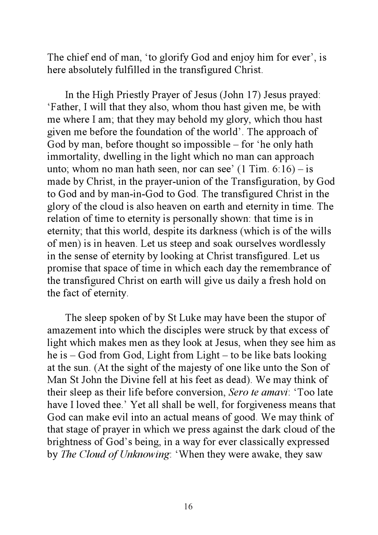The chief end of man, 'to glorify God and enjoy him for ever', is here absolutely fulfilled in the transfigured Christ.

In the High Priestly Prayer of Jesus (John 17) Jesus prayed: ëFather, I will that they also, whom thou hast given me, be with me where I am; that they may behold my glory, which thou hast given me before the foundation of the world'. The approach of God by man, before thought so impossible  $-$  for 'he only hath immortality, dwelling in the light which no man can approach unto; whom no man hath seen, nor can see'  $(1 \text{ Tim. } 6:16) - \text{is}$ made by Christ, in the prayer-union of the Transfiguration, by God to God and by man-in-God to God. The transfigured Christ in the glory of the cloud is also heaven on earth and eternity in time. The relation of time to eternity is personally shown: that time is in eternity; that this world, despite its darkness (which is of the wills of men) is in heaven. Let us steep and soak ourselves wordlessly in the sense of eternity by looking at Christ transfigured. Let us promise that space of time in which each day the remembrance of the transfigured Christ on earth will give us daily a fresh hold on the fact of eternity.

The sleep spoken of by St Luke may have been the stupor of amazement into which the disciples were struck by that excess of light which makes men as they look at Jesus, when they see him as he is  $-$  God from God, Light from Light  $-$  to be like bats looking at the sun. (At the sight of the majesty of one like unto the Son of Man St John the Divine fell at his feet as dead). We may think of their sleep as their life before conversion, *Sero te amavi*: 'Too late have I loved thee.' Yet all shall be well, for forgiveness means that God can make evil into an actual means of good. We may think of that stage of prayer in which we press against the dark cloud of the brightness of God's being, in a way for ever classically expressed by *The Cloud of Unknowing*: ëWhen they were awake, they saw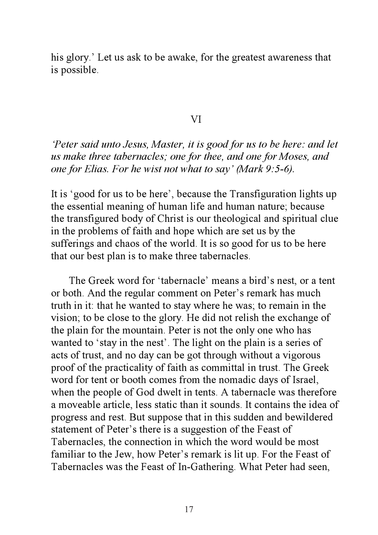his glory.<sup>†</sup> Let us ask to be awake, for the greatest awareness that is possible.

VI

*ëPeter said unto Jesus, Master, it is good for us to be here: and let us make three tabernacles; one for thee, and one for Moses, and one for Elias. For he wist not what to sayí (Mark 9:5-6).* 

It is 'good for us to be here', because the Transfiguration lights up the essential meaning of human life and human nature; because the transfigured body of Christ is our theological and spiritual clue in the problems of faith and hope which are set us by the sufferings and chaos of the world. It is so good for us to be here that our best plan is to make three tabernacles.

The Greek word for 'tabernacle' means a bird's nest, or a tent or both. And the regular comment on Peter's remark has much truth in it: that he wanted to stay where he was; to remain in the vision; to be close to the glory. He did not relish the exchange of the plain for the mountain. Peter is not the only one who has wanted to 'stay in the nest'. The light on the plain is a series of acts of trust, and no day can be got through without a vigorous proof of the practicality of faith as committal in trust. The Greek word for tent or booth comes from the nomadic days of Israel, when the people of God dwelt in tents. A tabernacle was therefore a moveable article, less static than it sounds. It contains the idea of progress and rest. But suppose that in this sudden and bewildered statement of Peter's there is a suggestion of the Feast of Tabernacles, the connection in which the word would be most familiar to the Jew, how Peter's remark is lit up. For the Feast of Tabernacles was the Feast of In-Gathering. What Peter had seen,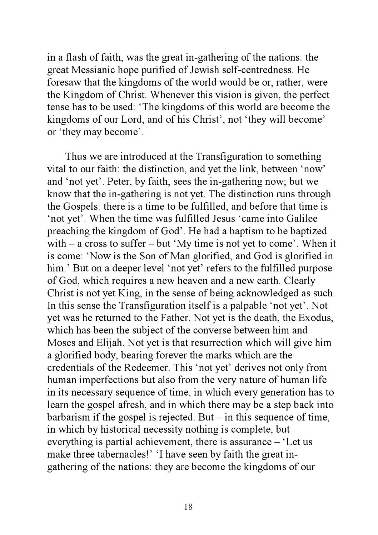in a flash of faith, was the great in-gathering of the nations: the great Messianic hope purified of Jewish self-centredness. He foresaw that the kingdoms of the world would be or, rather, were the Kingdom of Christ. Whenever this vision is given, the perfect tense has to be used: ëThe kingdoms of this world are become the kingdoms of our Lord, and of his Christ', not 'they will become' or 'they may become'.

Thus we are introduced at the Transfiguration to something vital to our faith: the distinction, and yet the link, between 'now' and 'not yet'. Peter, by faith, sees the in-gathering now; but we know that the in-gathering is not yet. The distinction runs through the Gospels: there is a time to be fulfilled, and before that time is 'not yet'. When the time was fulfilled Jesus 'came into Galilee preaching the kingdom of God'. He had a baptism to be baptized with  $-$  a cross to suffer  $-$  but 'My time is not yet to come'. When it is come: 'Now is the Son of Man glorified, and God is glorified in him.' But on a deeper level 'not yet' refers to the fulfilled purpose of God, which requires a new heaven and a new earth. Clearly Christ is not yet King, in the sense of being acknowledged as such. In this sense the Transfiguration itself is a palpable 'not yet'. Not yet was he returned to the Father. Not yet is the death, the Exodus, which has been the subject of the converse between him and Moses and Elijah. Not yet is that resurrection which will give him a glorified body, bearing forever the marks which are the credentials of the Redeemer. This 'not yet' derives not only from human imperfections but also from the very nature of human life in its necessary sequence of time, in which every generation has to learn the gospel afresh, and in which there may be a step back into barbarism if the gospel is rejected. But  $-$  in this sequence of time, in which by historical necessity nothing is complete, but everything is partial achievement, there is assurance  $-$  'Let us make three tabernacles!' 'I have seen by faith the great ingathering of the nations: they are become the kingdoms of our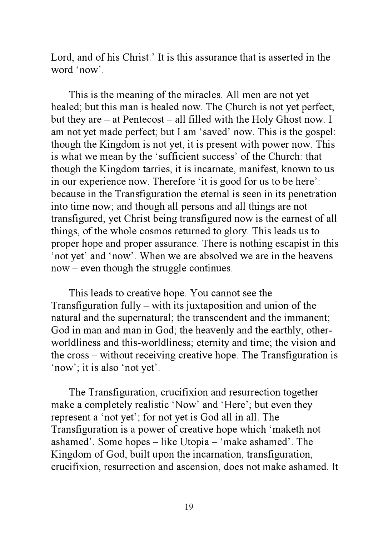Lord, and of his Christ.' It is this assurance that is asserted in the word 'now'

This is the meaning of the miracles. All men are not yet healed; but this man is healed now. The Church is not yet perfect; but they are  $-$  at Pentecost  $-$  all filled with the Holy Ghost now. I am not yet made perfect; but I am 'saved' now. This is the gospel: though the Kingdom is not yet, it is present with power now. This is what we mean by the 'sufficient success' of the Church: that though the Kingdom tarries, it is incarnate, manifest, known to us in our experience now. Therefore 'it is good for us to be here': because in the Transfiguration the eternal is seen in its penetration into time now; and though all persons and all things are not transfigured, yet Christ being transfigured now is the earnest of all things, of the whole cosmos returned to glory. This leads us to proper hope and proper assurance. There is nothing escapist in this 'not yet' and 'now'. When we are absolved we are in the heavens  $now – even though the struggle continues.$ 

This leads to creative hope. You cannot see the Transfiguration fully  $-\text{ with its juxtaposition}$  and union of the natural and the supernatural; the transcendent and the immanent; God in man and man in God; the heavenly and the earthly; otherworldliness and this-worldliness; eternity and time; the vision and the cross – without receiving creative hope. The Transfiguration is 'now'; it is also 'not yet'.

The Transfiguration, crucifixion and resurrection together make a completely realistic 'Now' and 'Here'; but even they represent a 'not yet'; for not yet is God all in all. The Transfiguration is a power of creative hope which 'maketh not ashamed'. Some hopes – like Utopia – 'make ashamed'. The Kingdom of God, built upon the incarnation, transfiguration, crucifixion, resurrection and ascension, does not make ashamed. It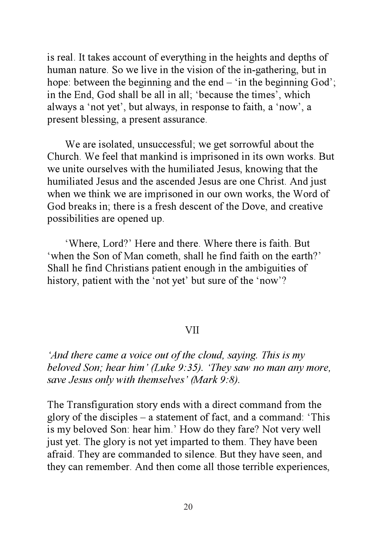is real. It takes account of everything in the heights and depths of human nature. So we live in the vision of the in-gathering, but in hope: between the beginning and the end  $\overline{-}$  'in the beginning God'; in the End, God shall be all in all; 'because the times', which always a 'not yet', but always, in response to faith, a 'now', a present blessing, a present assurance.

We are isolated, unsuccessful; we get sorrowful about the Church. We feel that mankind is imprisoned in its own works. But we unite ourselves with the humiliated Jesus, knowing that the humiliated Jesus and the ascended Jesus are one Christ. And just when we think we are imprisoned in our own works, the Word of God breaks in; there is a fresh descent of the Dove, and creative possibilities are opened up.

'Where, Lord?' Here and there. Where there is faith. But 'when the Son of Man cometh, shall he find faith on the earth?' Shall he find Christians patient enough in the ambiguities of history, patient with the 'not yet' but sure of the 'now'?

### VII

*ëAnd there came a voice out of the cloud, saying. This is my beloved Son; hear him' (Luke 9:35). 'They saw no man any more, save Jesus only with themselves' (Mark 9:8).* 

The Transfiguration story ends with a direct command from the glory of the disciples  $-$  a statement of fact, and a command: 'This is my beloved Son: hear him.' How do they fare? Not very well just yet. The glory is not yet imparted to them. They have been afraid. They are commanded to silence. But they have seen, and they can remember. And then come all those terrible experiences,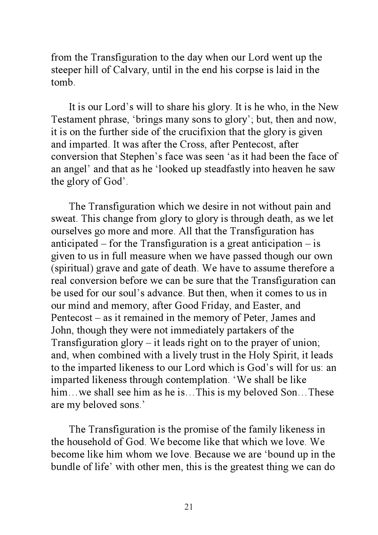from the Transfiguration to the day when our Lord went up the steeper hill of Calvary, until in the end his corpse is laid in the tomb.

It is our Lord's will to share his glory. It is he who, in the New Testament phrase, 'brings many sons to glory'; but, then and now, it is on the further side of the crucifixion that the glory is given and imparted. It was after the Cross, after Pentecost, after conversion that Stephen's face was seen 'as it had been the face of an angel' and that as he 'looked up steadfastly into heaven he saw the glory of God'.

The Transfiguration which we desire in not without pain and sweat. This change from glory to glory is through death, as we let ourselves go more and more. All that the Transfiguration has anticipated  $-$  for the Transfiguration is a great anticipation  $-$  is given to us in full measure when we have passed though our own (spiritual) grave and gate of death. We have to assume therefore a real conversion before we can be sure that the Transfiguration can be used for our soul's advance. But then, when it comes to us in our mind and memory, after Good Friday, and Easter, and Pentecost – as it remained in the memory of Peter, James and John, though they were not immediately partakers of the Transfiguration glory  $-$  it leads right on to the prayer of union; and, when combined with a lively trust in the Holy Spirit, it leads to the imparted likeness to our Lord which is God's will for us: an imparted likeness through contemplation. 'We shall be like him...we shall see him as he is...This is my beloved Son...These are my beloved sons.'

The Transfiguration is the promise of the family likeness in the household of God. We become like that which we love. We become like him whom we love. Because we are 'bound up in the bundle of life' with other men, this is the greatest thing we can do